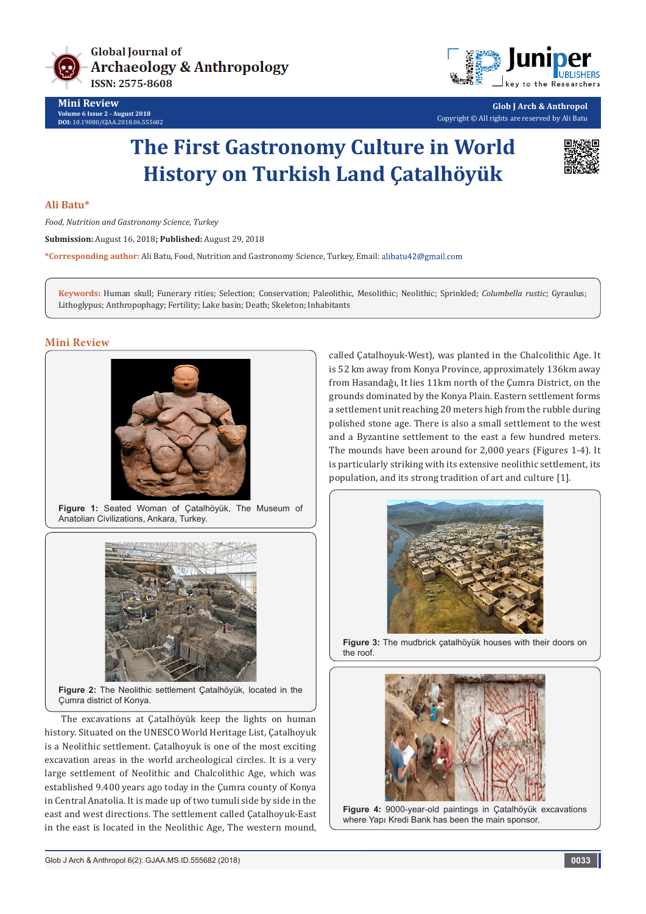



**Glob J Arch & Anthropol** Copyright © All rights are reserved by Ali Batu

# **The First Gastronomy Culture in World History on Turkish Land Çatalhöyük**



### **Ali Batu\***

*Food, Nutrition and Gastronomy Science, Turkey*

**Submission:** August 16, 2018**; Published:** August 29, 2018

**\*Corresponding author:** Ali Batu, Food, Nutrition and Gastronomy Science, Turkey, Email:

**Keywords:** Human skull; Funerary rities; Selection; Conservation; Paleolithic, Mesolithic; Neolithic; Sprinkled; *Columbella rustic*; Gyraulus; Lithoglypus; Anthropophagy; Fertility; Lake basin; Death; Skeleton; Inhabitants

## **Mini Review**



**Figure 1:** Seated Woman of Çatalhöyük, The Museum of Anatolian Civilizations, Ankara, Turkey.



**Figure 2:** The Neolithic settlement Çatalhöyük, located in the Çumra district of Konya.

The excavations at Çatalhöyük keep the lights on human history. Situated on the UNESCO World Heritage List, Çatalhoyuk is a Neolithic settlement. Çatalhoyuk is one of the most exciting excavation areas in the world archeological circles. It is a very large settlement of Neolithic and Chalcolithic Age, which was established 9.400 years ago today in the Çumra county of Konya in Central Anatolia. It is made up of two tumuli side by side in the east and west directions. The settlement called Çatalhoyuk-East in the east is located in the Neolithic Age, The western mound,

called Çatalhoyuk-West), was planted in the Chalcolithic Age. It is 52 km away from Konya Province, approximately 136km away from Hasandağı, It lies 11km north of the Çumra District, on the grounds dominated by the Konya Plain. Eastern settlement forms a settlement unit reaching 20 meters high from the rubble during polished stone age. There is also a small settlement to the west and a Byzantine settlement to the east a few hundred meters. The mounds have been around for 2,000 years (Figures 1-4). It is particularly striking with its extensive neolithic settlement, its population, and its strong tradition of art and culture [1].



**Figure 3:** The mudbrick çatalhöyük houses with their doors on the roof.



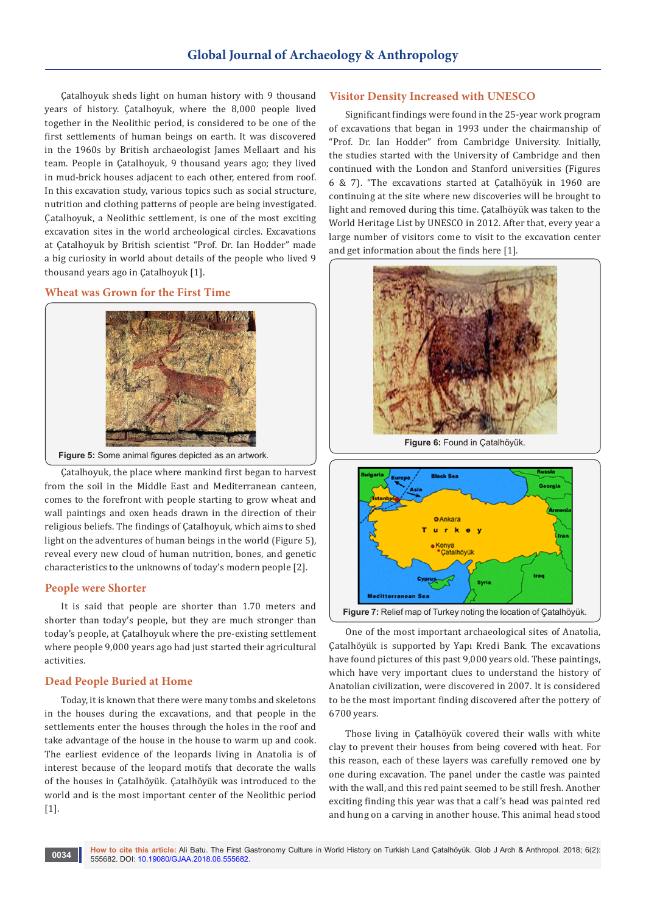Çatalhoyuk sheds light on human history with 9 thousand years of history. Çatalhoyuk, where the 8,000 people lived together in the Neolithic period, is considered to be one of the first settlements of human beings on earth. It was discovered in the 1960s by British archaeologist James Mellaart and his team. People in Çatalhoyuk, 9 thousand years ago; they lived in mud-brick houses adjacent to each other, entered from roof. In this excavation study, various topics such as social structure, nutrition and clothing patterns of people are being investigated. Çatalhoyuk, a Neolithic settlement, is one of the most exciting excavation sites in the world archeological circles. Excavations at Çatalhoyuk by British scientist "Prof. Dr. Ian Hodder" made a big curiosity in world about details of the people who lived 9 thousand years ago in Çatalhoyuk [1].

# **Wheat was Grown for the First Time**





Çatalhoyuk, the place where mankind first began to harvest from the soil in the Middle East and Mediterranean canteen, comes to the forefront with people starting to grow wheat and wall paintings and oxen heads drawn in the direction of their religious beliefs. The findings of Çatalhoyuk, which aims to shed light on the adventures of human beings in the world (Figure 5), reveal every new cloud of human nutrition, bones, and genetic characteristics to the unknowns of today's modern people [2].

#### **People were Shorter**

It is said that people are shorter than 1.70 meters and shorter than today's people, but they are much stronger than today's people, at Çatalhoyuk where the pre-existing settlement where people 9,000 years ago had just started their agricultural activities.

# **Dead People Buried at Home**

Today, it is known that there were many tombs and skeletons in the houses during the excavations, and that people in the settlements enter the houses through the holes in the roof and take advantage of the house in the house to warm up and cook. The earliest evidence of the leopards living in Anatolia is of interest because of the leopard motifs that decorate the walls of the houses in Çatalhöyük. Çatalhöyük was introduced to the world and is the most important center of the Neolithic period [1].

#### **Visitor Density Increased with UNESCO**

Significant findings were found in the 25-year work program of excavations that began in 1993 under the chairmanship of "Prof. Dr. Ian Hodder" from Cambridge University. Initially, the studies started with the University of Cambridge and then continued with the London and Stanford universities (Figures 6 & 7). "The excavations started at Çatalhöyük in 1960 are continuing at the site where new discoveries will be brought to light and removed during this time. Çatalhöyük was taken to the World Heritage List by UNESCO in 2012. After that, every year a large number of visitors come to visit to the excavation center and get information about the finds here [1].



**Figure 6:** Found in Çatalhöyük.



One of the most important archaeological sites of Anatolia, Çatalhöyük is supported by Yapı Kredi Bank. The excavations have found pictures of this past 9,000 years old. These paintings, which have very important clues to understand the history of Anatolian civilization, were discovered in 2007. It is considered to be the most important finding discovered after the pottery of 6700 years.

Those living in Çatalhöyük covered their walls with white clay to prevent their houses from being covered with heat. For this reason, each of these layers was carefully removed one by one during excavation. The panel under the castle was painted with the wall, and this red paint seemed to be still fresh. Another exciting finding this year was that a calf's head was painted red and hung on a carving in another house. This animal head stood